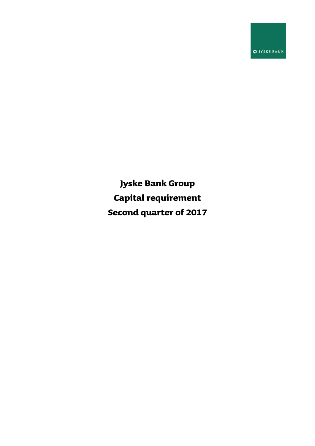**O** JYSKE BANK

**Jyske Bank Group Capital requirement Second quarter of 2017**